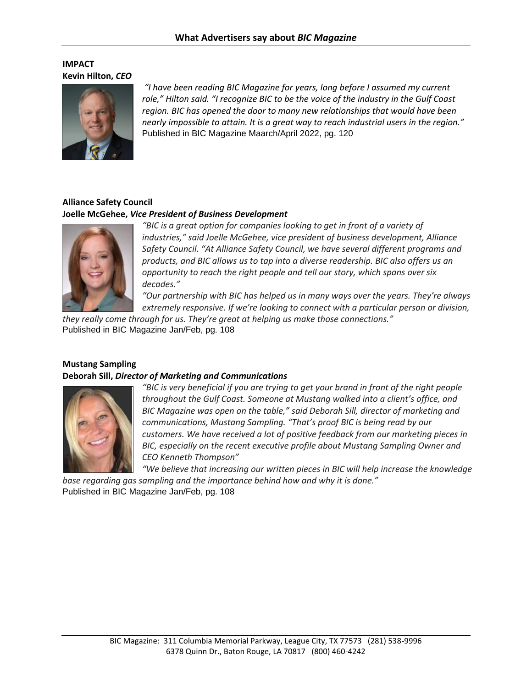## **IMPACT Kevin Hilton,** *CEO*



*"I have been reading BIC Magazine for years, long before I assumed my current role," Hilton said. "I recognize BIC to be the voice of the industry in the Gulf Coast region. BIC has opened the door to many new relationships that would have been nearly impossible to attain. It is a great way to reach industrial users in the region."* Published in BIC Magazine Maarch/April 2022, pg. 120

### **Alliance Safety Council Joelle McGehee,** *Vice President of Business Development*



*"BIC is a great option for companies looking to get in front of a variety of industries," said Joelle McGehee, vice president of business development, Alliance Safety Council. "At Alliance Safety Council, we have several different programs and products, and BIC allows us to tap into a diverse readership. BIC also offers us an opportunity to reach the right people and tell our story, which spans over six decades."*

*"Our partnership with BIC has helped us in many ways over the years. They're always extremely responsive. If we're looking to connect with a particular person or division,* 

*they really come through for us. They're great at helping us make those connections."* Published in BIC Magazine Jan/Feb, pg. 108

## **Mustang Sampling**

#### **Deborah Sill,** *Director of Marketing and Communications*



*"BIC is very beneficial if you are trying to get your brand in front of the right people throughout the Gulf Coast. Someone at Mustang walked into a client's office, and BIC Magazine was open on the table," said Deborah Sill, director of marketing and communications, Mustang Sampling. "That's proof BIC is being read by our customers. We have received a lot of positive feedback from our marketing pieces in BIC, especially on the recent executive profile about Mustang Sampling Owner and CEO Kenneth Thompson"*

*"We believe that increasing our written pieces in BIC will help increase the knowledge base regarding gas sampling and the importance behind how and why it is done."*

Published in BIC Magazine Jan/Feb, pg. 108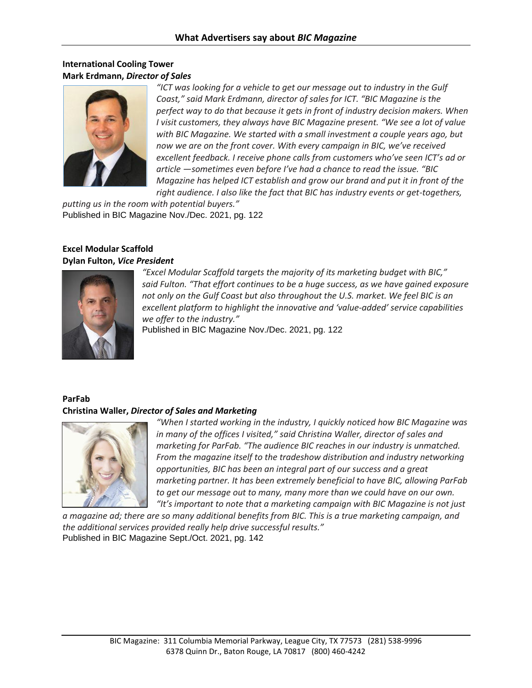## **International Cooling Tower Mark Erdmann,** *Director of Sales*



*"ICT was looking for a vehicle to get our message out to industry in the Gulf Coast," said Mark Erdmann, director of sales for ICT. "BIC Magazine is the perfect way to do that because it gets in front of industry decision makers. When I visit customers, they always have BIC Magazine present. "We see a lot of value with BIC Magazine. We started with a small investment a couple years ago, but now we are on the front cover. With every campaign in BIC, we've received excellent feedback. I receive phone calls from customers who've seen ICT's ad or article —sometimes even before I've had a chance to read the issue. "BIC Magazine has helped ICT establish and grow our brand and put it in front of the right audience. I also like the fact that BIC has industry events or get-togethers,* 

*putting us in the room with potential buyers."* Published in BIC Magazine Nov./Dec. 2021, pg. 122

### **Excel Modular Scaffold Dylan Fulton,** *Vice President*



*"Excel Modular Scaffold targets the majority of its marketing budget with BIC," said Fulton. "That effort continues to be a huge success, as we have gained exposure* not only on the Gulf Coast but also throughout the U.S. market. We feel BIC is an *excellent platform to highlight the innovative and 'value-added' service capabilities we offer to the industry."*

Published in BIC Magazine Nov./Dec. 2021, pg. 122

### **ParFab Christina Waller,** *Director of Sales and Marketing*



*"When I started working in the industry, I quickly noticed how BIC Magazine was in many of the offices I visited," said Christina Waller, director of sales and marketing for ParFab. "The audience BIC reaches in our industry is unmatched. From the magazine itself to the tradeshow distribution and industry networking opportunities, BIC has been an integral part of our success and a great marketing partner. It has been extremely beneficial to have BIC, allowing ParFab to get our message out to many, many more than we could have on our own. "It's important to note that a marketing campaign with BIC Magazine is not just* 

*a magazine ad; there are so many additional benefits from BIC. This is a true marketing campaign, and the additional services provided really help drive successful results."* Published in BIC Magazine Sept./Oct. 2021, pg. 142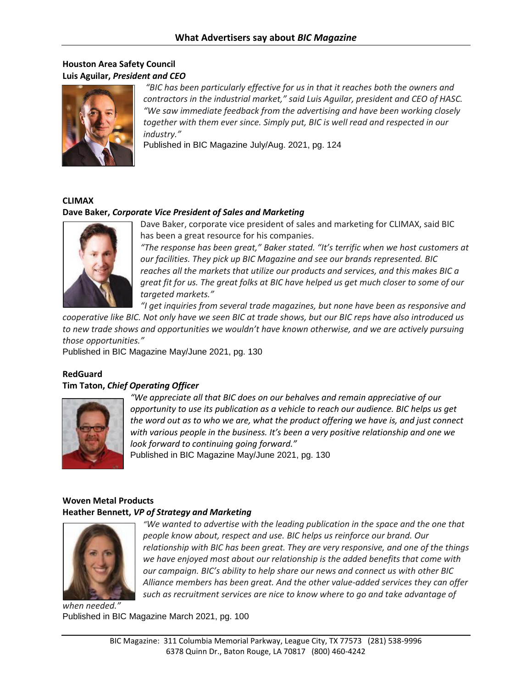## **Houston Area Safety Council Luis Aguilar,** *President and CEO*



*"BIC has been particularly effective for us in that it reaches both the owners and contractors in the industrial market," said Luis Aguilar, president and CEO of HASC. "We saw immediate feedback from the advertising and have been working closely together with them ever since. Simply put, BIC is well read and respected in our industry."*

Published in BIC Magazine July/Aug. 2021, pg. 124

#### **CLIMAX**

### **Dave Baker,** *Corporate Vice President of Sales and Marketing*



Dave Baker, corporate vice president of sales and marketing for CLIMAX, said BIC has been a great resource for his companies.

*"The response has been great," Baker stated. "It's terrific when we host customers at our facilities. They pick up BIC Magazine and see our brands represented. BIC reaches all the markets that utilize our products and services, and this makes BIC a great fit for us. The great folks at BIC have helped us get much closer to some of our targeted markets."*

*"I get inquiries from several trade magazines, but none have been as responsive and* 

*cooperative like BIC. Not only have we seen BIC at trade shows, but our BIC reps have also introduced us to new trade shows and opportunities we wouldn't have known otherwise, and we are actively pursuing those opportunities."*

Published in BIC Magazine May/June 2021, pg. 130

### **RedGuard Tim Taton,** *Chief Operating Officer*



*"We appreciate all that BIC does on our behalves and remain appreciative of our opportunity to use its publication as a vehicle to reach our audience. BIC helps us get the word out as to who we are, what the product offering we have is, and just connect with various people in the business. It's been a very positive relationship and one we look forward to continuing going forward."* 

Published in BIC Magazine May/June 2021, pg. 130

## **Woven Metal Products**

#### **Heather Bennett,** *VP of Strategy and Marketing*



*"We wanted to advertise with the leading publication in the space and the one that people know about, respect and use. BIC helps us reinforce our brand. Our relationship with BIC has been great. They are very responsive, and one of the things we have enjoyed most about our relationship is the added benefits that come with our campaign. BIC's ability to help share our news and connect us with other BIC Alliance members has been great. And the other value-added services they can offer such as recruitment services are nice to know where to go and take advantage of* 

*when needed."* Published in BIC Magazine March 2021, pg. 100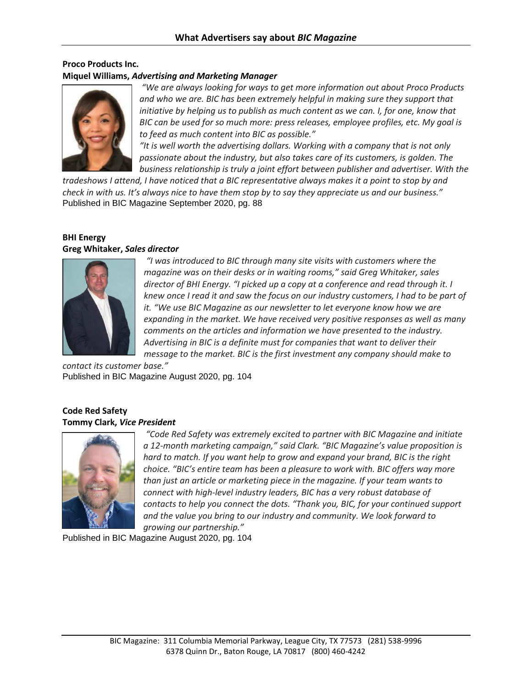### **Proco Products Inc. Miquel Williams,** *Advertising and Marketing Manager*



*"We are always looking for ways to get more information out about Proco Products*  and who we are. BIC has been extremely helpful in making sure they support that *initiative by helping us to publish as much content as we can. I, for one, know that BIC can be used for so much more: press releases, employee profiles, etc. My goal is to feed as much content into BIC as possible."*

*"It is well worth the advertising dollars. Working with a company that is not only passionate about the industry, but also takes care of its customers, is golden. The business relationship is truly a joint effort between publisher and advertiser. With the* 

*tradeshows I attend, I have noticed that a BIC representative always makes it a point to stop by and check in with us. It's always nice to have them stop by to say they appreciate us and our business."* Published in BIC Magazine September 2020, pg. 88

#### **BHI Energy Greg Whitaker,** *Sales director*



*"I was introduced to BIC through many site visits with customers where the magazine was on their desks or in waiting rooms," said Greg Whitaker, sales director of BHI Energy. "I picked up a copy at a conference and read through it. I knew once I read it and saw the focus on our industry customers, I had to be part of it. "We use BIC Magazine as our newsletter to let everyone know how we are expanding in the market. We have received very positive responses as well as many comments on the articles and information we have presented to the industry. Advertising in BIC is a definite must for companies that want to deliver their message to the market. BIC is the first investment any company should make to* 

*contact its customer base."* Published in BIC Magazine August 2020, pg. 104

### **Code Red Safety Tommy Clark,** *Vice President*



*"Code Red Safety was extremely excited to partner with BIC Magazine and initiate a 12-month marketing campaign," said Clark. "BIC Magazine's value proposition is hard to match. If you want help to grow and expand your brand, BIC is the right choice. "BIC's entire team has been a pleasure to work with. BIC offers way more than just an article or marketing piece in the magazine. If your team wants to connect with high-level industry leaders, BIC has a very robust database of contacts to help you connect the dots. "Thank you, BIC, for your continued support and the value you bring to our industry and community. We look forward to growing our partnership."*

Published in BIC Magazine August 2020, pg. 104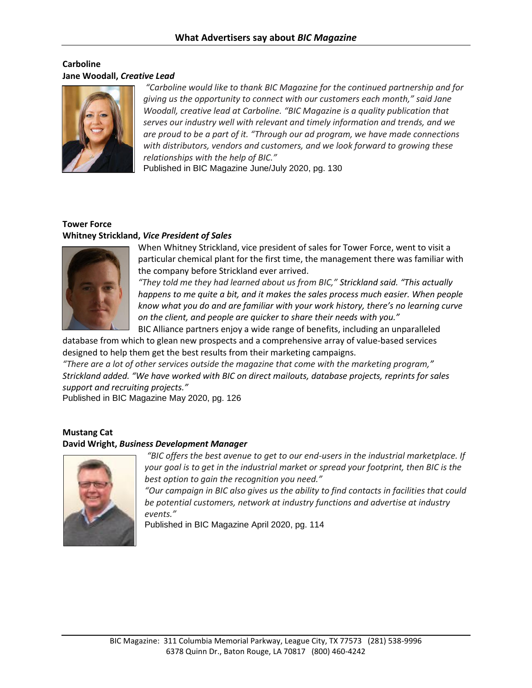### **Carboline Jane Woodall,** *Creative Lead*



*"Carboline would like to thank BIC Magazine for the continued partnership and for giving us the opportunity to connect with our customers each month," said Jane Woodall, creative lead at Carboline. "BIC Magazine is a quality publication that serves our industry well with relevant and timely information and trends, and we are proud to be a part of it. "Through our ad program, we have made connections with distributors, vendors and customers, and we look forward to growing these relationships with the help of BIC."*

Published in BIC Magazine June/July 2020, pg. 130

# **Tower Force Whitney Strickland,** *Vice President of Sales*



When Whitney Strickland, vice president of sales for Tower Force, went to visit a particular chemical plant for the first time, the management there was familiar with the company before Strickland ever arrived.

*"They told me they had learned about us from BIC," Strickland said. "This actually happens to me quite a bit, and it makes the sales process much easier. When people know what you do and are familiar with your work history, there's no learning curve on the client, and people are quicker to share their needs with you."*

BIC Alliance partners enjoy a wide range of benefits, including an unparalleled database from which to glean new prospects and a comprehensive array of value-based services designed to help them get the best results from their marketing campaigns.

*"There are a lot of other services outside the magazine that come with the marketing program," Strickland added. "We have worked with BIC on direct mailouts, database projects, reprints for sales support and recruiting projects."*

Published in BIC Magazine May 2020, pg. 126

# **Mustang Cat**

### **David Wright,** *Business Development Manager*



*"BIC offers the best avenue to get to our end-users in the industrial marketplace. If your goal is to get in the industrial market or spread your footprint, then BIC is the best option to gain the recognition you need."* 

*"Our campaign in BIC also gives us the ability to find contacts in facilities that could be potential customers, network at industry functions and advertise at industry events."* 

Published in BIC Magazine April 2020, pg. 114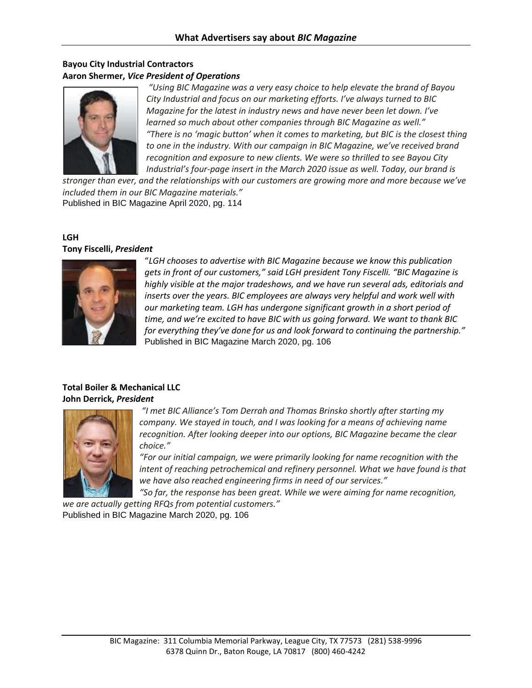## **Bayou City Industrial Contractors Aaron Shermer,** *Vice President of Operations*



*"Using BIC Magazine was a very easy choice to help elevate the brand of Bayou City Industrial and focus on our marketing efforts. I've always turned to BIC Magazine for the latest in industry news and have never been let down. I've learned so much about other companies through BIC Magazine as well." "There is no 'magic button' when it comes to marketing, but BIC is the closest thing to one in the industry. With our campaign in BIC Magazine, we've received brand recognition and exposure to new clients. We were so thrilled to see Bayou City Industrial's four-page insert in the March 2020 issue as well. Today, our brand is* 

*stronger than ever, and the relationships with our customers are growing more and more because we've included them in our BIC Magazine materials."* Published in BIC Magazine April 2020, pg. 114

#### **LGH Tony Fiscelli,** *President*



"*LGH chooses to advertise with BIC Magazine because we know this publication gets in front of our customers," said LGH president Tony Fiscelli. "BIC Magazine is highly visible at the major tradeshows, and we have run several ads, editorials and inserts over the years. BIC employees are always very helpful and work well with our marketing team. LGH has undergone significant growth in a short period of time, and we're excited to have BIC with us going forward. We want to thank BIC for everything they've done for us and look forward to continuing the partnership."* Published in BIC Magazine March 2020, pg. 106

### **Total Boiler & Mechanical LLC John Derrick,** *President*



*"I met BIC Alliance's Tom Derrah and Thomas Brinsko shortly after starting my company. We stayed in touch, and I was looking for a means of achieving name recognition. After looking deeper into our options, BIC Magazine became the clear choice."*

*"For our initial campaign, we were primarily looking for name recognition with the intent of reaching petrochemical and refinery personnel. What we have found is that we have also reached engineering firms in need of our services."*

*"So far, the response has been great. While we were aiming for name recognition, we are actually getting RFQs from potential customers."* 

Published in BIC Magazine March 2020, pg. 106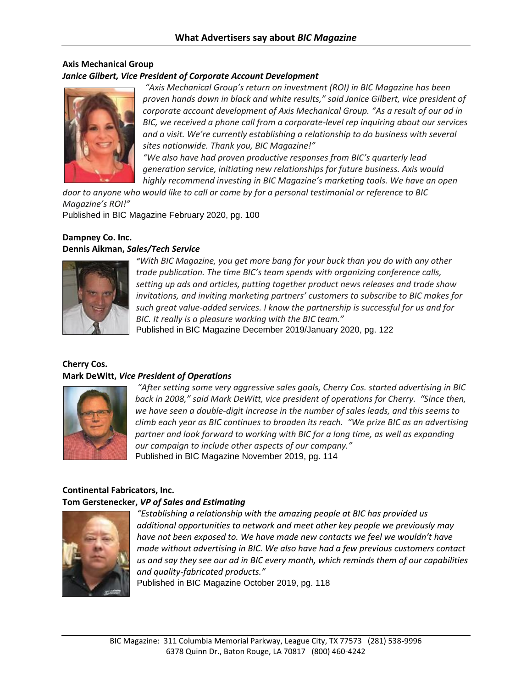#### **Axis Mechanical Group** *Janice Gilbert, Vice President of Corporate Account Development*



*"Axis Mechanical Group's return on investment (ROI) in BIC Magazine has been proven hands down in black and white results," said Janice Gilbert, vice president of corporate account development of Axis Mechanical Group. "As a result of our ad in BIC, we received a phone call from a corporate-level rep inquiring about our services and a visit. We're currently establishing a relationship to do business with several sites nationwide. Thank you, BIC Magazine!"*

*"We also have had proven productive responses from BIC's quarterly lead generation service, initiating new relationships for future business. Axis would highly recommend investing in BIC Magazine's marketing tools. We have an open* 

*door to anyone who would like to call or come by for a personal testimonial or reference to BIC Magazine's ROI!"* Published in BIC Magazine February 2020, pg. 100

### **Dampney Co. Inc. Dennis Aikman,** *Sales/Tech Service*



*"With BIC Magazine, you get more bang for your buck than you do with any other trade publication. The time BIC's team spends with organizing conference calls, setting up ads and articles, putting together product news releases and trade show invitations, and inviting marketing partners' customers to subscribe to BIC makes for such great value-added services. I know the partnership is successful for us and for BIC. It really is a pleasure working with the BIC team."* Published in BIC Magazine December 2019/January 2020, pg. 122

#### **Cherry Cos. Mark DeWitt,** *Vice President of Operations*



*"After setting some very aggressive sales goals, Cherry Cos. started advertising in BIC back in 2008," said Mark DeWitt, vice president of operations for Cherry. "Since then, we have seen a double-digit increase in the number of sales leads, and this seems to climb each year as BIC continues to broaden its reach. "We prize BIC as an advertising partner and look forward to working with BIC for a long time, as well as expanding our campaign to include other aspects of our company."*  Published in BIC Magazine November 2019, pg. 114

#### **Continental Fabricators, Inc. Tom Gerstenecker,** *VP of Sales and Estimating*



*"Establishing a relationship with the amazing people at BIC has provided us additional opportunities to network and meet other key people we previously may have not been exposed to. We have made new contacts we feel we wouldn't have made without advertising in BIC. We also have had a few previous customers contact us and say they see our ad in BIC every month, which reminds them of our capabilities and quality-fabricated products."* 

Published in BIC Magazine October 2019, pg. 118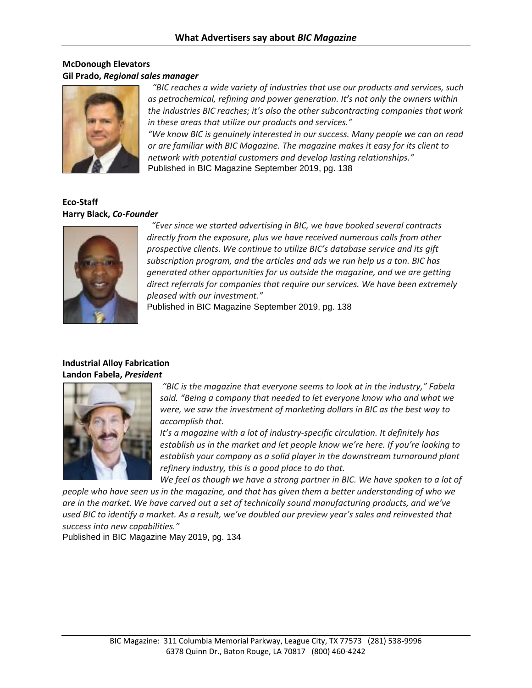## **McDonough Elevators Gil Prado,** *Regional sales manager*



*"BIC reaches a wide variety of industries that use our products and services, such as petrochemical, refining and power generation. It's not only the owners within the industries BIC reaches; it's also the other subcontracting companies that work in these areas that utilize our products and services."*

*"We know BIC is genuinely interested in our success. Many people we can on read or are familiar with BIC Magazine. The magazine makes it easy for its client to network with potential customers and develop lasting relationships."* Published in BIC Magazine September 2019, pg. 138

### **Eco-Staff Harry Black,** *Co-Founder*



*"Ever since we started advertising in BIC, we have booked several contracts directly from the exposure, plus we have received numerous calls from other prospective clients. We continue to utilize BIC's database service and its gift subscription program, and the articles and ads we run help us a ton. BIC has generated other opportunities for us outside the magazine, and we are getting direct referrals for companies that require our services. We have been extremely pleased with our investment."* 

Published in BIC Magazine September 2019, pg. 138

## **Industrial Alloy Fabrication Landon Fabela,** *President*



*"BIC is the magazine that everyone seems to look at in the industry," Fabela said. "Being a company that needed to let everyone know who and what we were, we saw the investment of marketing dollars in BIC as the best way to accomplish that.*

*It's a magazine with a lot of industry-specific circulation. It definitely has establish us in the market and let people know we're here. If you're looking to establish your company as a solid player in the downstream turnaround plant refinery industry, this is a good place to do that.*

We feel as though we have a strong partner in BIC. We have spoken to a lot of *people who have seen us in the magazine, and that has given them a better understanding of who we are in the market. We have carved out a set of technically sound manufacturing products, and we've used BIC to identify a market. As a result, we've doubled our preview year's sales and reinvested that success into new capabilities."*

Published in BIC Magazine May 2019, pg. 134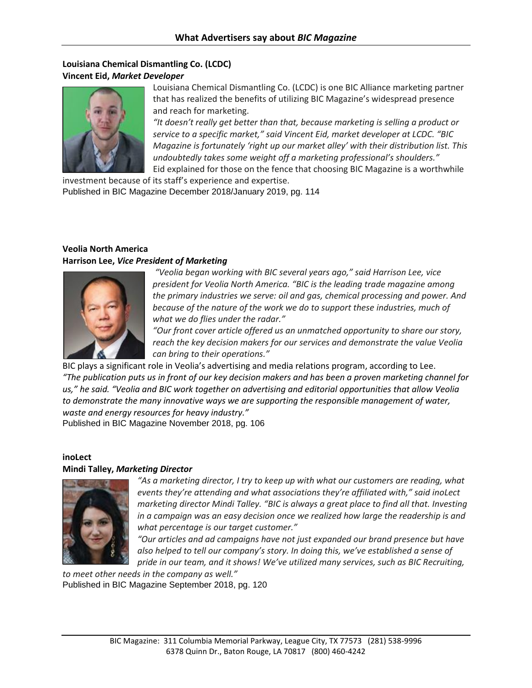### **Louisiana Chemical Dismantling Co. (LCDC) Vincent Eid,** *Market Developer*



Louisiana Chemical Dismantling Co. (LCDC) is one BIC Alliance marketing partner that has realized the benefits of utilizing BIC Magazine's widespread presence and reach for marketing.

*"It doesn't really get better than that, because marketing is selling a product or service to a specific market," said Vincent Eid, market developer at LCDC. "BIC Magazine is fortunately 'right up our market alley' with their distribution list. This undoubtedly takes some weight off a marketing professional's shoulders."* Eid explained for those on the fence that choosing BIC Magazine is a worthwhile

investment because of its staff's experience and expertise. Published in BIC Magazine December 2018/January 2019, pg. 114

## **Veolia North America Harrison Lee,** *Vice President of Marketing*



*"Veolia began working with BIC several years ago," said Harrison Lee, vice president for Veolia North America. "BIC is the leading trade magazine among the primary industries we serve: oil and gas, chemical processing and power. And because of the nature of the work we do to support these industries, much of what we do flies under the radar."*

*"Our front cover article offered us an unmatched opportunity to share our story, reach the key decision makers for our services and demonstrate the value Veolia can bring to their operations."*

BIC plays a significant role in Veolia's advertising and media relations program, according to Lee. *"The publication puts us in front of our key decision makers and has been a proven marketing channel for us," he said. "Veolia and BIC work together on advertising and editorial opportunities that allow Veolia to demonstrate the many innovative ways we are supporting the responsible management of water, waste and energy resources for heavy industry."* Published in BIC Magazine November 2018, pg. 106

**inoLect**

#### **Mindi Talley,** *Marketing Director*



*"As a marketing director, I try to keep up with what our customers are reading, what events they're attending and what associations they're affiliated with," said inoLect marketing director Mindi Talley. "BIC is always a great place to find all that. Investing in a campaign was an easy decision once we realized how large the readership is and what percentage is our target customer."* 

*"Our articles and ad campaigns have not just expanded our brand presence but have also helped to tell our company's story. In doing this, we've established a sense of pride in our team, and it shows! We've utilized many services, such as BIC Recruiting,* 

*to meet other needs in the company as well."* Published in BIC Magazine September 2018, pg. 120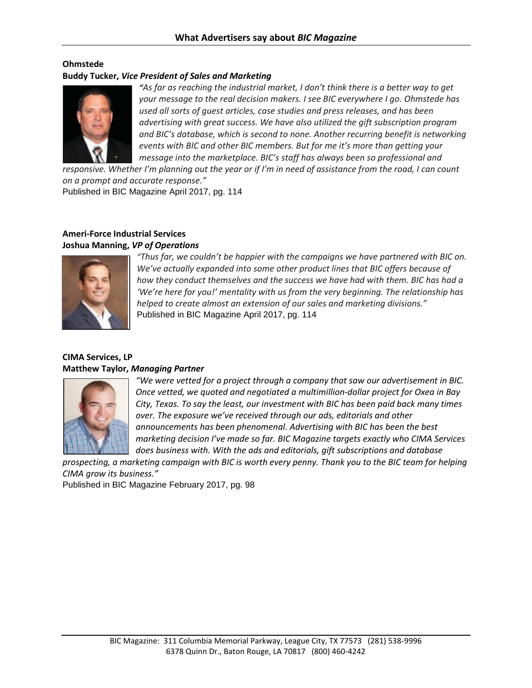### **Ohmstede Buddy Tucker,** *Vice President of Sales and Marketing*



*"As far as reaching the industrial market, I don't think there is a better way to get your message to the real decision makers. I see BIC everywhere I go. Ohmstede has used all sorts of guest articles, case studies and press releases, and has been advertising with great success. We have also utilized the gift subscription program and BIC's database, which is second to none. Another recurring benefit is networking events with BIC and other BIC members. But for me it's more than getting your message into the marketplace. BIC's staff has always been so professional and* 

*responsive. Whether I'm planning out the year or if I'm in need of assistance from the road, I can count on a prompt and accurate response."* 

Published in BIC Magazine April 2017, pg. 114

## **Ameri-Force Industrial Services Joshua Manning,** *VP of Operations*



*"Thus far, we couldn't be happier with the campaigns we have partnered with BIC on. We've actually expanded into some other product lines that BIC offers because of how they conduct themselves and the success we have had with them. BIC has had a 'We're here for you!' mentality with us from the very beginning. The relationship has helped to create almost an extension of our sales and marketing divisions."*  Published in BIC Magazine April 2017, pg. 114

### **CIMA Services, LP Matthew Taylor,** *Managing Partner*



*"We were vetted for a project through a company that saw our advertisement in BIC. Once vetted, we quoted and negotiated a multimillion-dollar project for Oxea in Bay City, Texas. To say the least, our investment with BIC has been paid back many times over. The exposure we've received through our ads, editorials and other announcements has been phenomenal. Advertising with BIC has been the best marketing decision I've made so far. BIC Magazine targets exactly who CIMA Services does business with. With the ads and editorials, gift subscriptions and database* 

*prospecting, a marketing campaign with BIC is worth every penny. Thank you to the BIC team for helping CIMA grow its business."* 

Published in BIC Magazine February 2017, pg. 98